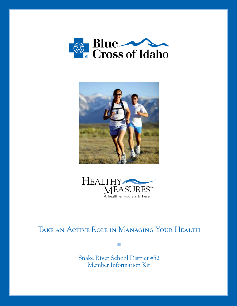





# Take an Active Role in Managing Your Health

 $\mathcal{L}_{\mathcal{A}}$ 

Snake River School District #52 Member Information Kit

1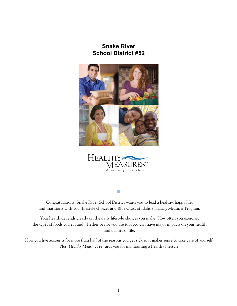### **Snake River School District #52**





Congratulations! Snake River School District wants you to lead a healthy, happy life, and that starts with your lifestyle choices and Blue Cross of Idaho's *Healthy Measures* Program.

 $\mathcal{L}_{\mathcal{A}}$ 

Your health depends greatly on the daily lifestyle choices you make. How often you exercise, the types of foods you eat and whether or not you use tobacco can have major impacts on your health and quality of life.

How you live accounts for more than half of the reasons you get sick so it makes sense to take care of yourself! Plus, *Healthy Measures* rewards you for maintaining a healthy lifestyle.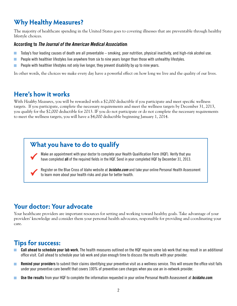## **Why Healthy Measures?**

The majority of healthcare spending in the United States goes to covering illnesses that are preventable through healthy lifestyle choices.

#### **According to** *The Journal of the American Medical Association***:**

- Today's four leading causes of death are all preventable smoking, poor nutrition, physical inactivity, and high-risk alcohol use.  $\mathcal{L}_{\mathcal{A}}$
- People with healthier lifestyles live anywhere from six to nine years longer than those with unhealthy lifestyles.  $\mathcal{L}_{\mathcal{A}}$
- People with healthier lifestyles not only live longer, they prevent disability by up to nine years.  $\mathcal{L}_{\mathcal{A}}$

In other words, the choices we make every day have a powerful effect on how long we live and the quality of our lives.

### **Here's how it works**

With *Healthy Measures*, you will be rewarded with a \$2,000 deductible if you participate and meet specific wellness targets. If you participate, complete the necessary requirements and meet the wellness targets by December 31, 2013, you qualify for the \$2,000 deductible for 2013. IF you do not participate or do not complete the necessary requirements to meet the wellness targets, you will have a \$4,000 deductible beginning January 1, 2014.

## **What you have to do to qualify**

Make an appointment with your doctor to complete your Health Qualification Form (HQF). Verify that you have completed **all** of the required fields in the HQF. Send in your completed HQF by December 31, 2013.

Register on the Blue Cross of Idaho website at *bcidaho.com* and take your online Personal Health Assessment to learn more about your health risks and plan for better health.

## **Your doctor: Your advocate**

Your healthcare providers are important resources for setting and working toward healthy goals. Take advantage of your providers' knowledge and consider them your personal health advocates, responsible for providing and coordinating your care.

## **Tips for success:**

- **Call ahead to schedule your lab work.** The health measures outlined on the HQF require some lab work that may result in an additional office visit. Call ahead to schedule your lab work and plan enough time to discuss the results with your provider.
- **Remind your providers** to submit their claims identifying your preventive visit as a wellness service. This will ensure the office visit falls  $\mathcal{L}_{\mathcal{A}}$ under your preventive care benefit that covers 100% of preventive care charges when you use an in-network provider.
- **Use the results** from your HQF to complete the information requested in your online Personal Health Assessment at *bcidaho.com*. **Tal**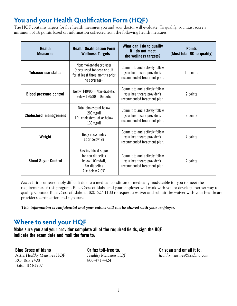## **You and your Health Qualification Form (HQF)**

The HQF contains targets for five health measures you and your doctor will evaluate. To qualify, you must score a minimum of 16 points based on information collected from the following health measures:

| <b>Health</b><br><b>Measures</b> | <b>Health Qualification Form</b><br>- Wellness Targets                                                   | What can I do to qualify<br>if I do not meet<br>the wellness targets?                      | <b>Points</b><br>(Must total 80 to qualify) |
|----------------------------------|----------------------------------------------------------------------------------------------------------|--------------------------------------------------------------------------------------------|---------------------------------------------|
| Tobacco use status               | Nonsmoker/tobacco user<br>(never used tobacco or quit<br>for at least three months prior<br>to coverage) | Commit to and actively follow<br>your healthcare provider's<br>recommended treatment plan. | 10 points                                   |
| <b>Blood pressure control</b>    | Below 140/90 - Non-diabetic<br>Below 130/80 - Diabetic                                                   | Commit to and actively follow<br>your healthcare provider's<br>recommended treatment plan. | 2 points                                    |
| <b>Cholesterol management</b>    | Total cholesterol below<br>200mg/dl<br>LDL cholesterol at or below<br>130mg/dl                           | Commit to and actively follow<br>your healthcare provider's<br>recommended treatment plan. | 2 points                                    |
| Weight                           | Body mass index<br>at or below 28                                                                        | Commit to and actively follow<br>your healthcare provider's<br>recommended treatment plan. | 4 points                                    |
| <b>Blood Sugar Control</b>       | Fasting blood sugar<br>for non diabetics<br>below 100md/dl;<br>For diabetics<br>A1c below 7.0%           | Commit to and actively follow<br>your healthcare provider's<br>recommended treatment plan. | 2 points                                    |

 *Note:* If it is unreasonably difficult due to a medical condition or medically inadvisable for you to meet the requirements of this program, Blue Cross of Idaho and your employer will work with you to develop another way to qualify. Contact Blue Cross of Idaho at 800-627-1188 to request a waiver and submit the waiver with your healthcare provider's certification and signature.

*This information is confidential and your values will not be shared with your employer.*

### **Where to send your HQF**

**Make sure you and your provider complete all of the required fields, sign the HQF, indicate the exam date and mail the form to:**

**Blue Cross of Idaho** Attn: *Healthy Measures* HQF P.O. Box 7408 Boise, ID 83707

**Or fax toll-free to:**  *Healthy Measures* HQF 800-471-4424

**Or scan and email it to:**  *healthymeasures*@*bcidaho.com*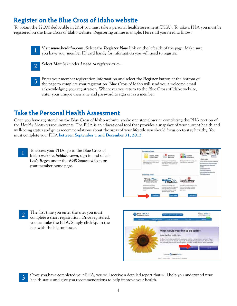### **Register on the Blue Cross of Idaho website**

To obtain the \$2,000 deductible in 2014 you must take a personal health assessment (PHA). To take a PHA you must be registered on the Blue Cross of Idaho website. Registering online is simple. Here's all you need to know:

Visit *www.bcidaho.com*. Select the *Register Now* link on the left side of the page. Make sure you have your member ID card handy for information you will need to register. 1



Select *Member* under *I need to register as a...* 2

Enter your member registration information and select the *Register* button at the bottom of the page to complete your registration. Blue Cross of Idaho will send you a welcome email acknowledging your registration. Whenever you return to the Blue Cross of Idaho website, enter your unique username and password to sign on as a member. 3

## **Take the Personal Health Assessment**

Once you have registered on the Blue Cross of Idaho website, you're one step closer to completing the PHA portion of the *Healthy Measures* requirements. The PHA is an educational tool that provides a snapshot of your current health and well-being status and gives recommendations about the areas of your lifestyle you should focus on to stay healthy. You must complete your PHA **between September 1 and December 31, 2013**.

To access your PHA, go to the Blue Cross of Idaho website, *bcidaho.com*, sign in and select *Let's Begin* under the *WellConnected* icon on your member home page. 1



The first time you enter the site, you must complete a short registration. Once registered, you can take the PHA. Simply click *Go* in the box with the big sunflower. 2



3 Once you have completed your PHA, you will receive a detailed report that will help you understand your<br>bealth status and give you recommendations to help improve your health health status and give you recommendations to help improve your health.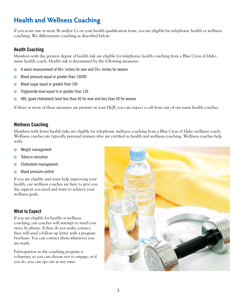## **Health and Wellness Coaching**

If you score one or more Bs and/or Cs on your health qualification form, you are eligible for telephonic health or wellness coaching. We differentiate coaching as described below:

#### **Health Coaching**

Members with the greatest degree of health risk are eligible for telephonic health coaching from a Blue Cross of Idaho nurse health coach. Health risk is determined by the following measures:

- A waist measurement of  $40+$  inches for men and  $35+$  inches for women
- Blood pressure equal or greater than 130/85  $\mathcal{L}_{\mathcal{A}}$
- Blood sugar equal or greater than 100 m.
- Triglyceride level equal to or greater than 150 П
- HDL (good cholesterol) level less than 40 for men and less than 50 for women

If three or more of these measures are present on your HQF, you can expect a call from one of our nurse health coaches.

#### **Wellness Coaching**

Members with fewer health risks are eligible for telephonic wellness coaching from a Blue Cross of Idaho wellness coach. Wellness coaches are typically personal trainers who are certified in health and wellness coaching. Wellness coaches help with:

- Weight management F.
- Tobacco cessation
- Cholesterol management  $\mathbb{R}^n$
- Blood pressure control  $\mathcal{L}_{\mathcal{A}}$

If you are eligible and want help improving your health, our wellness coaches are here to give you the support you need and want to achieve your wellness goals.

#### **What to Expect**

If you are eligible for health or wellness coaching, our coaches will attempt to reach you twice by phone. If they do not make contact, they will send a follow-up letter with a program brochure. You can contact them whenever you are ready.

Participation in the coaching program is voluntary, so you can choose not to engage, or if you do, you can opt out at any time.

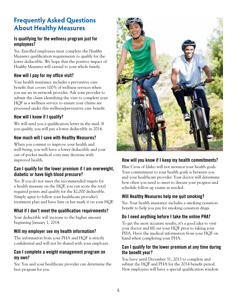## **Frequently Asked Questions About Healthy Measures**

#### **Is qualifying for the wellness program just for employees?**

Yes. Enrolled employees must complete the *Healthy Measures* qualification requirements to qualify for the lower deductible. We hope that the positive impact of *Healthy Measures* will extend to your whole family.

#### **How will I pay for my office visit?**

Your health insurance includes a preventive care benefit that covers 100% of wellness services when you use an in-network provider. Ask your provider to submit the claim identifying the visit to complete your HQF as a wellness service to ensure your claims are processed under this wellness/preventive care benefit.

### **How will I know if I qualify?**

We will send you a qualification letter in the mail. If you qualify, you will pay a lower deductible in 2014.

### **How much will I save with Healthy Measures?**

When you commit to improve your health and well-being, you will have a lower deductible and your out-of-pocket medical costs may decrease with improved health.

#### **Can I qualify for the lower premium if I am overweight, diabetic or have high blood pressure?**

Yes. If you do not meet the recommended targets for a health measure on the HQF, you can score the total required points and qualify for the \$2,000 deductible. Simply agree to follow your healthcare provider's treatment plan and have him or her mark it on your HQF.

### **What if I don't meet the qualification requirements?**

Your deductible will increase to the higher amount beginning January 1, 2014.

### **Will my employer see my health information?**

The information from your PHA and HQF is strictly confidential and will not be shared with your employer.

#### **Can I complete a weight management program on my own?**

Yes. You and your healthcare provider can determine the best program for you.



### **How will you know if I keep my health commitments?**

Blue Cross of Idaho will not monitor your health goals. Your commitment to your health goals is between you and your healthcare provider. Your doctor will determine how often you need to meet to discuss your progress and schedule follow up exams as needed.

#### **Will Healthy Measures help me quit smoking?**

Yes. Your health insurance includes a smoking cessation benefit to help you pay for smoking cessation drugs.

#### **Do I need anything before I take the online PHA?**

To get the most accurate results, it's a good idea to visit your doctor and fill out your HQF prior to taking your PHA. Have the medical information from your HQF on hand when completing your PHA.

#### **Can I qualify for the lower premium at any time during the benefit year?**

You have until December 31, 2013 to complete and submit the HQF and PHA for the 2014 benefit period. New employees will have a special qualification window.